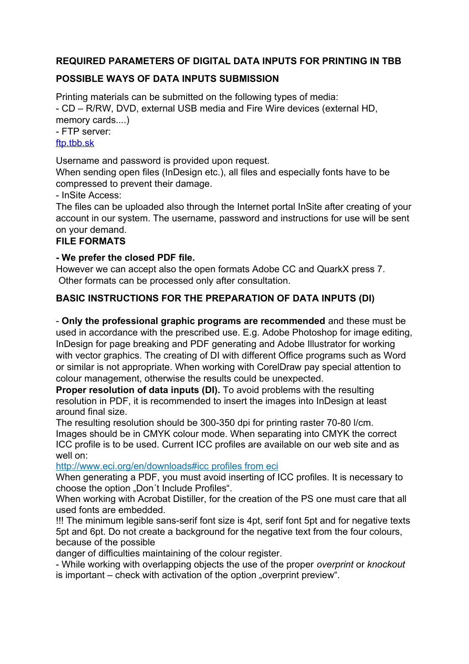# **REQUIRED PARAMETERS OF DIGITAL DATA INPUTS FOR PRINTING IN TBB**

# **POSSIBLE WAYS OF DATA INPUTS SUBMISSION**

Printing materials can be submitted on the following types of media: - CD – R/RW, DVD, external USB media and Fire Wire devices (external HD, memory cards....)

- FTP server:

#### ftp.tbb.sk

Username and password is provided upon request.

When sending open files (InDesign etc.), all files and especially fonts have to be compressed to prevent their damage.

- InSite Access:

The files can be uploaded also through the Internet portal InSite after creating of your account in our system. The username, password and instructions for use will be sent on your demand.

#### **FILE FORMATS**

#### **- We prefer the closed PDF file.**

However we can accept also the open formats Adobe CC and QuarkX press 7. Other formats can be processed only after consultation.

# **BASIC INSTRUCTIONS FOR THE PREPARATION OF DATA INPUTS (DI)**

- **Only the professional graphic programs are recommended** and these must be used in accordance with the prescribed use. E.g. Adobe Photoshop for image editing, InDesign for page breaking and PDF generating and Adobe Illustrator for working with vector graphics. The creating of DI with different Office programs such as Word or similar is not appropriate. When working with CorelDraw pay special attention to colour management, otherwise the results could be unexpected.

**Proper resolution of data inputs (DI).** To avoid problems with the resulting resolution in PDF, it is recommended to insert the images into InDesign at least around final size.

The resulting resolution should be 300-350 dpi for printing raster 70-80 l/cm. Images should be in CMYK colour mode. When separating into CMYK the correct ICC profile is to be used. Current ICC profiles are available on our web site and as well on:

<http://www.eci.org/en/downloads#icc>profiles from eci

When generating a PDF, you must avoid inserting of ICC profiles. It is necessary to choose the option "Don't Include Profiles".

When working with Acrobat Distiller, for the creation of the PS one must care that all used fonts are embedded.

!!! The minimum legible sans-serif font size is 4pt, serif font 5pt and for negative texts 5pt and 6pt. Do not create a background for the negative text from the four colours, because of the possible

danger of difficulties maintaining of the colour register.

- While working with overlapping objects the use of the proper *overprint* or *knockout* is important – check with activation of the option "overprint preview".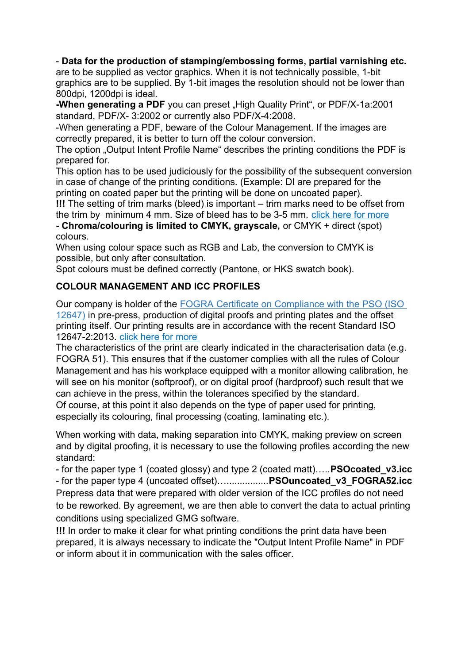#### - **Data for the production of stamping/embossing forms, partial varnishing etc.**

are to be supplied as vector graphics. When it is not technically possible, 1-bit graphics are to be supplied. By 1-bit images the resolution should not be lower than 800dpi, 1200dpi is ideal.

**-When generating a PDF** you can preset "High Quality Print", or PDF/X-1a:2001 standard, PDF/X- 3:2002 or currently also PDF/X-4:2008.

-When generating a PDF, beware of the Colour Management. If the images are correctly prepared, it is better to turn off the colour conversion.

The option "Output Intent Profile Name" describes the printing conditions the PDF is prepared for.

This option has to be used judiciously for the possibility of the subsequent conversion in case of change of the printing conditions. (Example: DI are prepared for the printing on coated paper but the printing will be done on uncoated paper).

**!!!** The setting of trim marks (bleed) is important – trim marks need to be offset from

the trim by minimum 4 mm. Size of bleed has to be 3-5 mm. [click here for more](#page-2-0) **- Chroma/colouring is limited to CMYK, grayscale,** or CMYK + direct (spot) colours.

When using colour space such as RGB and Lab, the conversion to CMYK is possible, but only after consultation.

Spot colours must be defined correctly (Pantone, or HKS swatch book).

# **COLOUR MANAGEMENT AND ICC PROFILES**

Our company is holder of the [FOGRA Certificate on Compliance with the PSO \(ISO](http://www.pso-insider.de/en/companies/1538)  [12647\)](http://www.pso-insider.de/en/companies/1538) in pre-press, production of digital proofs and printing plates and the offset printing itself. Our printing results are in accordance with the recent Standard ISO 12647-2:2013. [click here for more](http://www.tbb.sk/ctp/ISO12647eng.pdf)

The characteristics of the print are clearly indicated in the characterisation data (e.g. FOGRA 51). This ensures that if the customer complies with all the rules of Colour Management and has his workplace equipped with a monitor allowing calibration, he will see on his monitor (softproof), or on digital proof (hardproof) such result that we can achieve in the press, within the tolerances specified by the standard. Of course, at this point it also depends on the type of paper used for printing,

especially its colouring, final processing (coating, laminating etc.).

When working with data, making separation into CMYK, making preview on screen and by digital proofing, it is necessary to use the following profiles according the new standard:

- for the paper type 1 (coated glossy) and type 2 (coated matt)…..**PSOcoated\_v3.icc** - for the paper type 4 (uncoated offset)…................**PSOuncoated\_v3\_FOGRA52.icc** Prepress data that were prepared with older version of the ICC profiles do not need to be reworked. By agreement, we are then able to convert the data to actual printing conditions using specialized GMG software.

**!!!** In order to make it clear for what printing conditions the print data have been prepared, it is always necessary to indicate the "Output Intent Profile Name" in PDF or inform about it in communication with the sales officer.